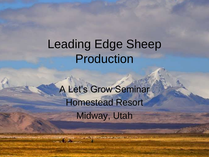### Leading Edge Sheep Production

A Let's Grow Seminar Homestead Resort Midway, Utah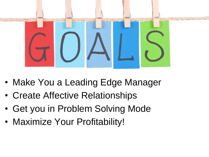

- Make You a Leading Edge Manager
- Create Affective Relationships
- Get you in Problem Solving Mode
- Maximize Your Profitability!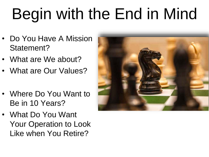## Begin with the End in Mind

- Do You Have A Mission Statement?
- What are We about?
- What are Our Values?
- Where Do You Want to Be in 10 Years?
- What Do You Want Your Operation to Look Like when You Retire?

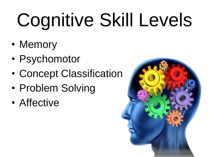# Cognitive Skill Levels

- Memory
- Psychomotor
- Concept Classification
- Problem Solving
- Affective

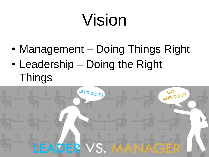## Vision

- Management Doing Things Right
- Leadership Doing the Right **Things**

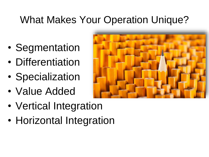#### What Makes Your Operation Unique?

- Segmentation
- Differentiation
- Specialization
- Value Added



- Vertical Integration
- Horizontal Integration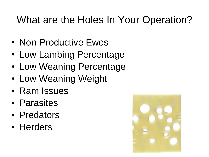#### What are the Holes In Your Operation?

- Non-Productive Ewes
- Low Lambing Percentage
- Low Weaning Percentage
- Low Weaning Weight
- Ram Issues
- Parasites
- Predators
- Herders

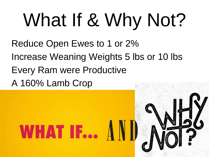# What If & Why Not?

Reduce Open Ewes to 1 or 2% Increase Weaning Weights 5 lbs or 10 lbs Every Ram were Productive A 160% Lamb Crop

WHAT IF...  $AN$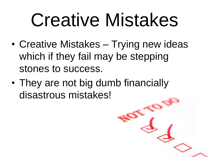## Creative Mistakes

- Creative Mistakes Trying new ideas which if they fail may be stepping stones to success.
- They are not big dumb financially disastrous mistakes!

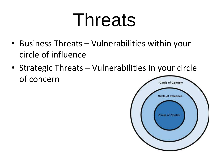## Threats

- Business Threats Vulnerabilities within your circle of influence
- Strategic Threats Vulnerabilities in your circle of concern